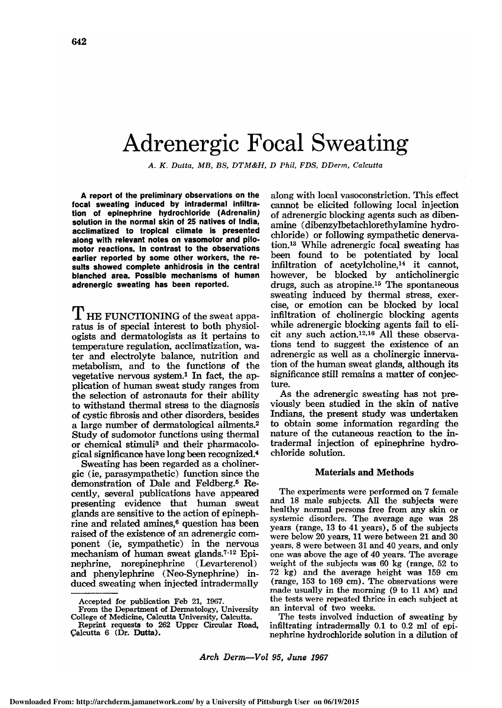# Adrenergic Focal Sweating

A. K. Dutta, MB, BS, DTM&H, D Phil, FDS, DDerm, Calcutta

A report of the preliminary observations on the focal sweating induced by intradermal infiltration of epinephrine hydrochloride (Adrenalin) solution in the normal skin of 25 natives of India, acclimatized to tropical climate is presented along with relevant notes on vasomotor and pilomotor reactions. In contrast to the observations earlier reported by some other workers, the results showed complete anhidrosis in the central blanched area. Possible mechanisms of human adrenergic sweating has been reported.

 $\rm T$  HE FUNCTIONING of the sweat apparatus is of special interest to both physiologists and dermatologists as it pertains to temperature regulation, acclimatization, wa ter and electrolyte balance, nutrition and metabolism, and to the functions of the vegetative nervous system.<sup>1</sup> In fact, the application of human sweat study ranges from the selection of astronauts for their ability to withstand thermal stress to the diagnosis of cystic fibrosis and other disorders, besides a large number of dermatological ailments.2 Study of sudomotor functions using thermal or chemical stimuli<sup>3</sup> and their pharmacological significance have long been recognized.4

Sweating has been regarded as a cholinergic (ie, parasympathetic) function since the demonstration of Dale and Feldberg.<sup>5</sup> Recently, several publications have appeared presenting evidence that human sweat glands are sensitive to the action of epinephrine and related amines,<sup>6</sup> question has been raised of the existence of an adrenergic com ponent (ie, sympathetic) in the nervous mechanism of human sweat glands.<sup>7-12</sup> Epinephrine, norepinephrine (Levarterenol) and phenylephrine (Neo-Synephrine) induced sweating when injected intradermally

along with local vasoconstriction. This effect cannot be elicited following local injection of adrenergic blocking agents such as dibenamine (dibenzylbetachlorethylamine hydrochloride) or following sympathetic denervation.13 While adrenergic focal sweating has been found to be potentiated by local infiltration of acetylcholine,14 it cannot, however, be blocked by anticholinergic drugs, such as atropine.15 The spontaneous sweating induced by thermal stress, exercise, or emotion can be blocked by local infiltration of cholinergic blocking agents while adrenergic blocking agents fail to elicit any such action.<sup>12,16</sup> All these observations tend to suggest the existence of an adrenergic as well as a cholinergic innervation of the human sweat glands, although its significance still remains a matter of conjecture.

As the adrenergic sweating has not previously been studied in the skin of native Indians, the present study was undertaken to obtain some information regarding the nature of the cutaneous reaction to the in tradermal injection of epinephrine hydrochloride solution.

### Materials and Methods

The experiments were performed on <sup>7</sup> female and <sup>18</sup> male subjects. All the subjects were healthy normal persons free from any skin or systemic disorders. The average age was 28 years (range, <sup>13</sup> to <sup>41</sup> years), <sup>5</sup> of the subjects were below 20 years, <sup>11</sup> were between 21 and 30 years, 8 were between 31 and 40 years, and only one was above the age of 40 years. The average weight of the subjects was 60 kg (range, 52 to 72 kg) and the average height was 159 cm (range, 153 to 169 cm). The observations were made usually in the morning (9 to <sup>11</sup> am) and the tests were repeated thrice in each subject at an interval of two weeks.

The tests involved induction of sweating by infiltrating intradermally  $0.1$  to  $0.2$  ml of epinephrine hydrochloride solution in <sup>a</sup> dilution of

Arch Derm-Vol 95, June 1967

Accepted for publication Feb 21, 1967.

From the Department of Dermatology, University College of Medicine, Calcutta University, Calcutta.

Reprint requests to <sup>262</sup> Upper Circular Road, Calcutta 6 (Dr. Dutta).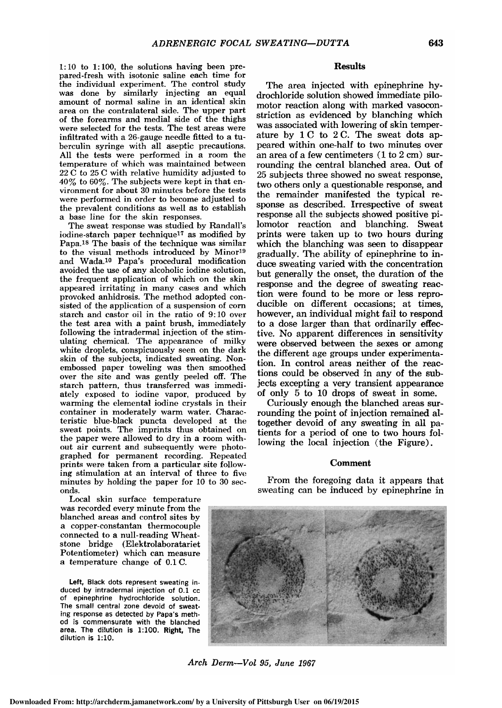$1:10$  to  $1:100$ , the solutions having been prepared-fresh with isotonic saline each time for the individual experiment. The control study was done by similarly injecting an equal amount of normal saline in an identical skin area on the contralateral side. The upper part of the forearms and medial side of the thighs were selected for the tests. The test areas were infiltrated with a 26-gauge needle fitted to a tuberculin syringe with all aseptic precautions. All the tests were performed in a room the temperature of which was maintained between 22 C to 25 C with relative humidity adjusted to  $40\%$  to  $60\%$ . The subjects were kept in that environment for about 30 minutes before the tests were performed in order to become adjusted to the prevalent conditions as well as to establish a base line for the skin responses.

The sweat response was studied by Randall's iodine-starch paper technique17 as modified by Papa.18 The basis of the technique was similar to the visual methods introduced by Minor19 and Wada.10 Papa's procedural modification avoided the use of any alcoholic iodine solution, the frequent application of which on the skin appeared irritating in many cases and which provoked anhidrosis. The method adopted con sisted of the application of a suspension of corn starch and castor oil in the ratio of 9:10 over the test area with a paint brush, immediately following the intradermal injection of the stimulating chemical. The appearance of milky white droplets, conspicuously seen on the dark skin of the subjects, indicated sweating. Nonembossed paper toweling was then smoothed over the site and was gently peeled off. The starch pattern, thus transferred was immediately exposed to iodine vapor, produced by warming the elemental iodine crystals in their container in moderately warm water. Characteristic blue-black puncta developed at the sweat points. The imprints thus obtained on the paper were allowed to dry in a room without air current and subsequently were photographed for permanent recording. Repeated prints were taken from a particular site following stimulation at an interval of three to five minutes by holding the paper for 10 to 30 seconds.

Local skin surface temperature was recorded every minute from the blanched areas and control sites by a copper-constantan thermocouple connected to a null-reading Wheatstone bridge (Elektrolaboratariet Potentiometer) which can measure a temperature change of 0.1 C.

Left, Black dots represent sweating induced by intradermal injection of 0.1 cc of epinephrine hydrochloride solution. The small central zone devoid of sweating response as detected by Papa's method is commensurate with the blanched area. The dilution is 1:100. Right, The dilution is 1:10.

## **Results**

The area injected with epinephrine hydrochloride solution showed immediate pilomotor reaction along with marked vasoconstriction as evidenced by blanching which was associated with lowering of skin temperature by  $1 C$  to  $2 C$ . The sweat dots appeared within one-half to two minutes over an area of a few centimeters  $(1 to 2 cm)$  surrounding the central blanched area. Out of 25 subjects three showed no sweat response, two others only a questionable response, and the remainder manifested the typical response as described. Irrespective of sweat response all the subjects showed positive pilomotor reaction and blanching. Sweat prints were taken up to two hours during which the blanching was seen to disappear gradually. The ability of epinephrine to in duce sweating varied with the concentration but generally the onset, the duration of the response and the degree of sweating reaction were found to be more or less reproducible on different occasions; at times, however, an individual might fail to respond to a dose larger than that ordinarily effective. No apparent differences in sensitivity were observed between the sexes or among the different age groups under experimentation. In control areas neither of the reactions could be observed in any of the subjects excepting a very transient appearance of only <sup>5</sup> to <sup>10</sup> drops of sweat in some.

Curiously enough the blanched areas surrounding the point of injection remained altogether devoid of any sweating in all pa tients for a period of one to two hours fol lowing the local injection (the Figure).

# Comment

From the foregoing data it appears that sweating can be induced by epinephrine in



Arch Derm-Vol 95, June 1967